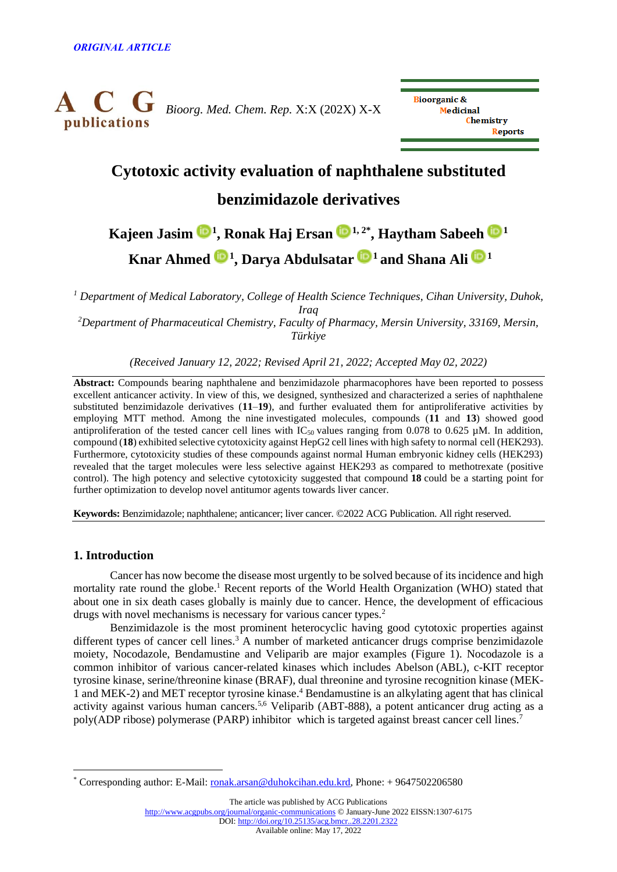

**Bioorganic & Medicinal Chemistry** Reports

# **Cytotoxic activity evaluation of naphthalene substituted**

# **benzimidazole derivatives**

# **Kajeen Jasim [1](https://orcid.org/0000-0001-6961-9424) , Ronak Haj Ersan [1](https://orcid.org/0000-0001-6651-5910), 2\* , Haytham Sabeeh [1](https://orcid.org/0000-0002-3142-4872) Knar Ahmed [1](https://orcid.org/0000-0001-7051-7249) , Darya Abdulsatar <sup>1</sup> and Shana Ali <sup>1</sup>**

*<sup>1</sup> Department of Medical Laboratory, College of Health Science Techniques, Cihan University, Duhok, Iraq <sup>2</sup>Department of Pharmaceutical Chemistry, Faculty of Pharmacy, Mersin University, 33169, Mersin, Türkiye*

*(Received January 12, 2022; Revised April 21, 2022; Accepted May 02, 2022)*

**Abstract:** Compounds bearing naphthalene and benzimidazole pharmacophores have been reported to possess excellent anticancer activity. In view of this, we designed, synthesized and characterized a series of naphthalene substituted benzimidazole derivatives (**11**–**19**), and further evaluated them for antiproliferative activities by employing MTT method. Among the nine investigated molecules, compounds (**11** and **13**) showed good antiproliferation of the tested cancer cell lines with  $IC_{50}$  values ranging from 0.078 to 0.625  $\mu$ M. In addition, compound (**18**) exhibited selective cytotoxicity against HepG2 cell lines with high safety to normal cell (HEK293). Furthermore, cytotoxicity studies of these compounds against normal Human embryonic kidney cells (HEK293) revealed that the target molecules were less selective against HEK293 as compared to methotrexate (positive control). The high potency and selective cytotoxicity suggested that compound **18** could be a starting point for further optimization to develop novel antitumor agents towards liver cancer.

**Keywords:** Benzimidazole; naphthalene; anticancer; liver cancer. ©2022 ACG Publication. All right reserved.

# **1. Introduction**

Cancer has now become the disease most urgently to be solved because of its incidence and high mortality rate round the globe.<sup>1</sup> Recent reports of the World Health Organization (WHO) stated that about one in six death cases globally is mainly due to cancer. Hence, the development of efficacious drugs with novel mechanisms is necessary for various cancer types.<sup>2</sup>

Benzimidazole is the most prominent heterocyclic having good cytotoxic properties against different types of cancer cell lines.<sup>3</sup> A number of marketed anticancer drugs comprise benzimidazole moiety, Nocodazole, Bendamustine and Veliparib are major examples (Figure 1). Nocodazole is a common inhibitor of various cancer-related kinases which includes Abelson (ABL), c-KIT receptor tyrosine kinase, serine/threonine kinase (BRAF), dual threonine and tyrosine recognition kinase (MEK-1 and MEK-2) and MET receptor tyrosine kinase. <sup>4</sup> Bendamustine is an alkylating agent that has clinical activity against various human cancers.5,6 Veliparib (ABT-888), a potent anticancer drug acting as a poly(ADP ribose) polymerase (PARP) inhibitor which is targeted against breast cancer cell lines.<sup>7</sup>

The article was published by ACG Publications

<http://www.acgpubs.org/journal/organic-communications> © January-June 2022 EISSN:1307-6175

DOI: http://doi.org/10.25135/acg.bmcr..28.2201.2322

Available online: May 17, 2022

<sup>\*</sup> Corresponding author: E-Mail: [ronak.arsan@duhokcihan.edu.krd,](mailto:ronak.arsan@duhokcihan.edu.krd) Phone: + 9647502206580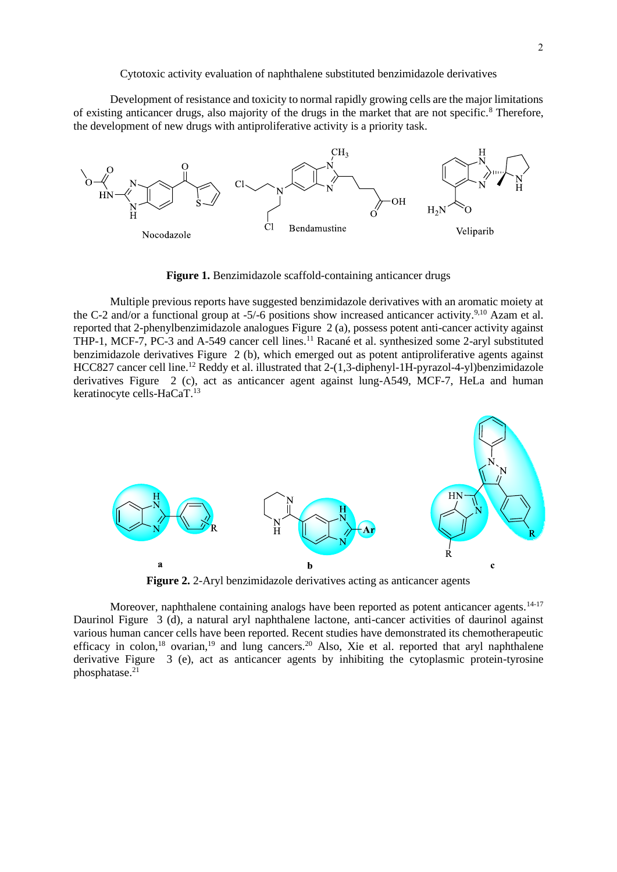Development of resistance and toxicity to normal rapidly growing cells are the major limitations of existing anticancer drugs, also majority of the drugs in the market that are not specific.<sup>8</sup> Therefore, the development of new drugs with antiproliferative activity is a priority task.



**Figure 1.** Benzimidazole scaffold-containing anticancer drugs

Multiple previous reports have suggested benzimidazole derivatives with an aromatic moiety at the C-2 and/or a functional group at -5/-6 positions show increased anticancer activity.<sup>9,10</sup> Azam et al. reported that 2-phenylbenzimidazole analogues Figure 2 (a), possess potent anti-cancer activity against THP-1, MCF-7, PC-3 and A-549 cancer cell lines.<sup>11</sup> Racané et al. synthesized some 2-aryl substituted benzimidazole derivatives Figure 2 (b), which emerged out as potent antiproliferative agents against HCC827 cancer cell line.<sup>12</sup> Reddy et al. illustrated that 2-(1,3-diphenyl-1H-pyrazol-4-yl)benzimidazole derivatives Figure 2 (c), act as anticancer agent against lung-A549, MCF-7, HeLa and human keratinocyte cells-HaCaT.<sup>13</sup>



**Figure 2.** 2-Aryl benzimidazole derivatives acting as anticancer agents

Moreover, naphthalene containing analogs have been reported as potent anticancer agents.<sup>14-17</sup> Daurinol Figure 3 (d), a natural aryl naphthalene lactone, anti-cancer activities of daurinol against various human cancer cells have been reported. Recent studies have demonstrated its chemotherapeutic efficacy in colon,<sup>18</sup> ovarian,<sup>19</sup> and lung cancers.<sup>20</sup> Also, Xie et al. reported that aryl naphthalene derivative Figure 3 (e), act as anticancer agents by inhibiting the cytoplasmic protein-tyrosine phosphatase.<sup>21</sup>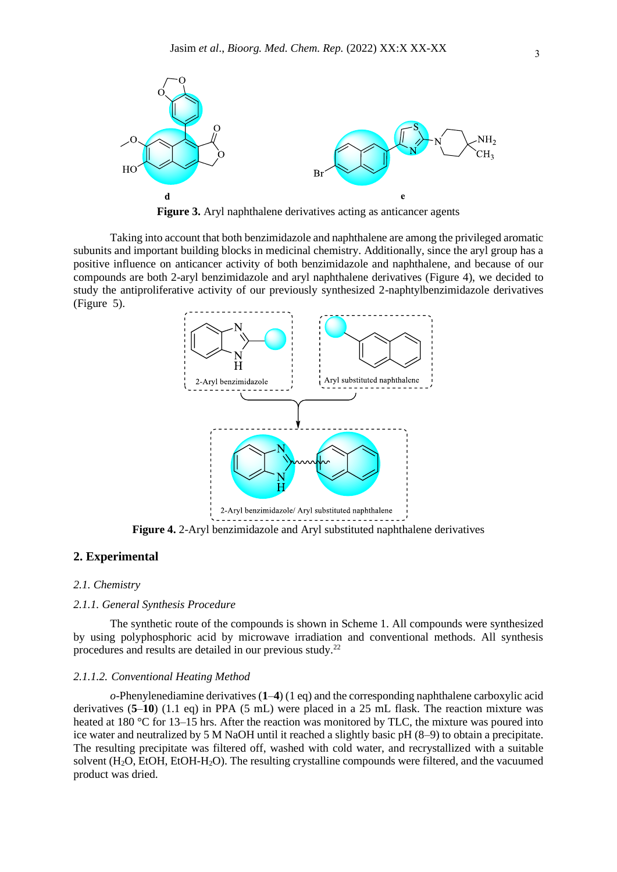

**Figure 3.** Aryl naphthalene derivatives acting as anticancer agents

Taking into account that both benzimidazole and naphthalene are among the privileged aromatic subunits and important building blocks in medicinal chemistry. Additionally, since the aryl group has a positive influence on anticancer activity of both benzimidazole and naphthalene, and because of our compounds are both 2-aryl benzimidazole and aryl naphthalene derivatives (Figure 4), we decided to study the antiproliferative activity of our previously synthesized 2-naphtylbenzimidazole derivatives (Figure 5).



**Figure 4.** 2-Aryl benzimidazole and Aryl substituted naphthalene derivatives

# **2. Experimental**

#### *2.1. Chemistry*

#### *2.1.1. General Synthesis Procedure*

The synthetic route of the compounds is shown in Scheme 1. All compounds were synthesized by using polyphosphoric acid by microwave irradiation and conventional methods. All synthesis procedures and results are detailed in our previous study.<sup>22</sup>

#### *2.1.1.2. Conventional Heating Method*

*o*-Phenylenediamine derivatives (**1**–**4**) (1 eq) and the corresponding naphthalene carboxylic acid derivatives (**5**–**10**) (1.1 eq) in PPA (5 mL) were placed in a 25 mL flask. The reaction mixture was heated at 180 °C for 13–15 hrs. After the reaction was monitored by TLC, the mixture was poured into ice water and neutralized by 5 M NaOH until it reached a slightly basic pH (8–9) to obtain a precipitate. The resulting precipitate was filtered off, washed with cold water, and recrystallized with a suitable solvent (H2O, EtOH, EtOH-H2O). The resulting crystalline compounds were filtered, and the vacuumed product was dried.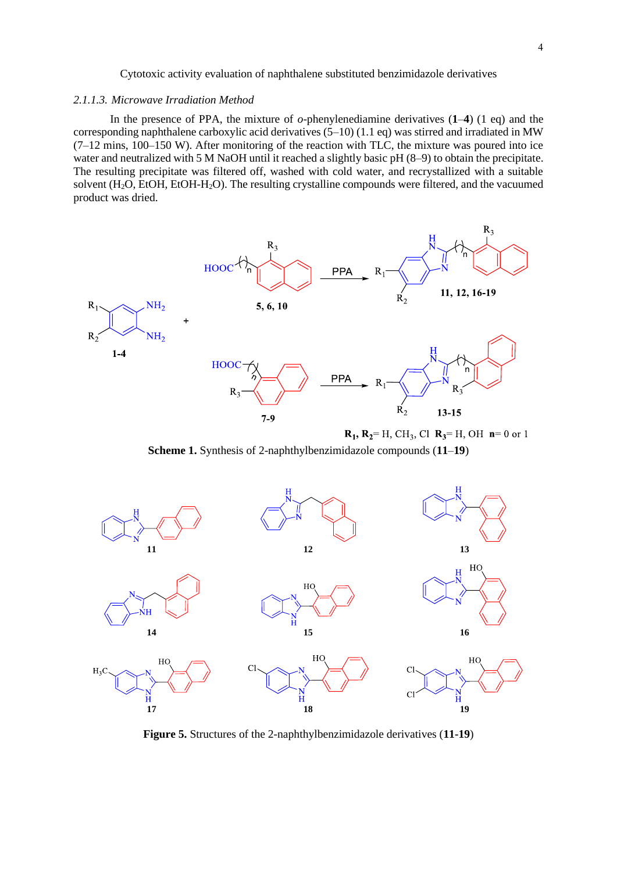### *2.1.1.3. Microwave Irradiation Method*

In the presence of PPA, the mixture of *o*-phenylenediamine derivatives (**1**–**4**) (1 eq) and the corresponding naphthalene carboxylic acid derivatives  $(5-10)$  (1.1 eq) was stirred and irradiated in MW (7–12 mins, 100–150 W). After monitoring of the reaction with TLC, the mixture was poured into ice water and neutralized with 5 M NaOH until it reached a slightly basic pH (8–9) to obtain the precipitate. The resulting precipitate was filtered off, washed with cold water, and recrystallized with a suitable solvent (H<sub>2</sub>O, EtOH, EtOH-H<sub>2</sub>O). The resulting crystalline compounds were filtered, and the vacuumed product was dried.



**Scheme 1.** Synthesis of 2-naphthylbenzimidazole compounds (**11**–**19**)



**Figure 5.** Structures of the 2-naphthylbenzimidazole derivatives (**11-19**)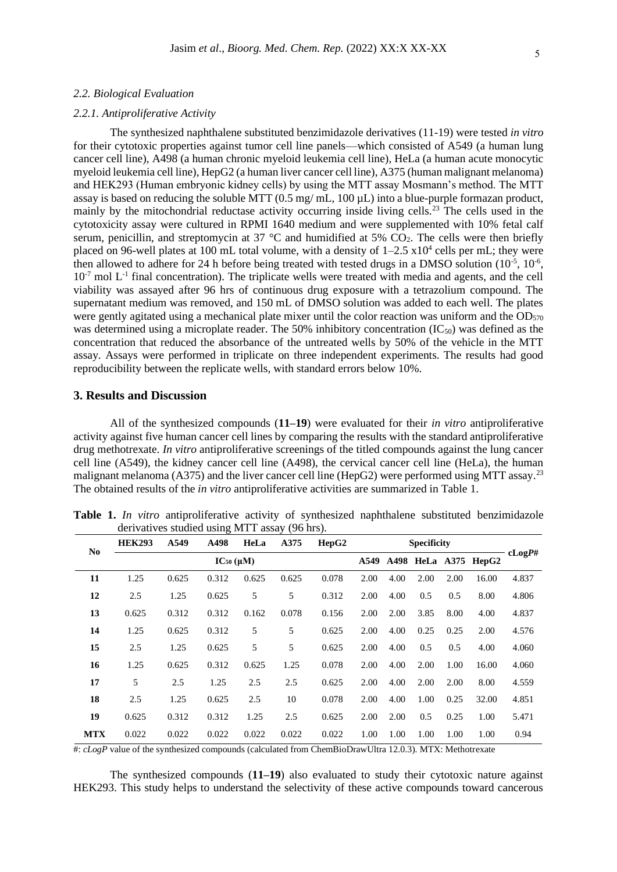### *2.2. Biological Evaluation*

# *2.2.1. Antiproliferative Activity*

The synthesized naphthalene substituted benzimidazole derivatives (11-19) were tested *in vitro* for their cytotoxic properties against tumor cell line panels—which consisted of A549 (a human lung cancer cell line), A498 (a human chronic myeloid leukemia cell line), HeLa (a human acute monocytic myeloid leukemia cell line), HepG2 (a human liver cancer cell line), A375 (human malignant melanoma) and HEK293 (Human embryonic kidney cells) by using the MTT assay Mosmann's method. The MTT assay is based on reducing the soluble MTT (0.5 mg/ mL, 100 µL) into a blue-purple formazan product, mainly by the mitochondrial reductase activity occurring inside living cells.<sup>23</sup> The cells used in the cytotoxicity assay were cultured in RPMI 1640 medium and were supplemented with 10% fetal calf serum, penicillin, and streptomycin at 37  $\degree$ C and humidified at 5% CO<sub>2</sub>. The cells were then briefly placed on 96-well plates at 100 mL total volume, with a density of  $1-2.5 \times 10^4$  cells per mL; they were then allowed to adhere for 24 h before being treated with tested drugs in a DMSO solution  $(10^{-5}, 10^{-6},$  $10<sup>-7</sup>$  mol L<sup>-1</sup> final concentration). The triplicate wells were treated with media and agents, and the cell viability was assayed after 96 hrs of continuous drug exposure with a tetrazolium compound. The supernatant medium was removed, and 150 mL of DMSO solution was added to each well. The plates were gently agitated using a mechanical plate mixer until the color reaction was uniform and the  $OD_{570}$ was determined using a microplate reader. The 50% inhibitory concentration  $(IC_{50})$  was defined as the concentration that reduced the absorbance of the untreated wells by 50% of the vehicle in the MTT assay. Assays were performed in triplicate on three independent experiments. The results had good reproducibility between the replicate wells, with standard errors below 10%.

# **3. Results and Discussion**

All of the synthesized compounds (**11–19**) were evaluated for their *in vitro* antiproliferative activity against five human cancer cell lines by comparing the results with the standard antiproliferative drug methotrexate. *In vitro* antiproliferative screenings of the titled compounds against the lung cancer cell line (A549), the kidney cancer cell line (A498), the cervical cancer cell line (HeLa), the human malignant melanoma (A375) and the liver cancer cell line (HepG2) were performed using MTT assay.<sup>23</sup> The obtained results of the *in vitro* antiproliferative activities are summarized in Table 1.

| N <sub>0</sub> | <b>HEK293</b>     | A549  | A498  | HeLa  | A375  | HepG2 | <b>Specificity</b> |      |      |      |                      |        |
|----------------|-------------------|-------|-------|-------|-------|-------|--------------------|------|------|------|----------------------|--------|
|                | $IC_{50} (\mu M)$ |       |       |       |       |       | A549               |      |      |      | A498 HeLa A375 HepG2 | cLogP# |
| 11             | 1.25              | 0.625 | 0.312 | 0.625 | 0.625 | 0.078 | 2.00               | 4.00 | 2.00 | 2.00 | 16.00                | 4.837  |
| 12             | 2.5               | 1.25  | 0.625 | 5     | 5     | 0.312 | 2.00               | 4.00 | 0.5  | 0.5  | 8.00                 | 4.806  |
| 13             | 0.625             | 0.312 | 0.312 | 0.162 | 0.078 | 0.156 | 2.00               | 2.00 | 3.85 | 8.00 | 4.00                 | 4.837  |
| 14             | 1.25              | 0.625 | 0.312 | 5     | 5     | 0.625 | 2.00               | 4.00 | 0.25 | 0.25 | 2.00                 | 4.576  |
| 15             | 2.5               | 1.25  | 0.625 | 5     | 5     | 0.625 | 2.00               | 4.00 | 0.5  | 0.5  | 4.00                 | 4.060  |
| 16             | 1.25              | 0.625 | 0.312 | 0.625 | 1.25  | 0.078 | 2.00               | 4.00 | 2.00 | 1.00 | 16.00                | 4.060  |
| 17             | 5                 | 2.5   | 1.25  | 2.5   | 2.5   | 0.625 | 2.00               | 4.00 | 2.00 | 2.00 | 8.00                 | 4.559  |
| 18             | 2.5               | 1.25  | 0.625 | 2.5   | 10    | 0.078 | 2.00               | 4.00 | 1.00 | 0.25 | 32.00                | 4.851  |
| 19             | 0.625             | 0.312 | 0.312 | 1.25  | 2.5   | 0.625 | 2.00               | 2.00 | 0.5  | 0.25 | 1.00                 | 5.471  |
| <b>MTX</b>     | 0.022             | 0.022 | 0.022 | 0.022 | 0.022 | 0.022 | 1.00               | 1.00 | 1.00 | 1.00 | 1.00                 | 0.94   |

**Table 1.** *In vitro* antiproliferative activity of synthesized naphthalene substituted benzimidazole derivatives studied using MTT assay (96 hrs).

#: *cLogP* value of the synthesized compounds (calculated from ChemBioDrawUltra 12.0.3). MTX: Methotrexate

The synthesized compounds (**11–19**) also evaluated to study their cytotoxic nature against HEK293. This study helps to understand the selectivity of these active compounds toward cancerous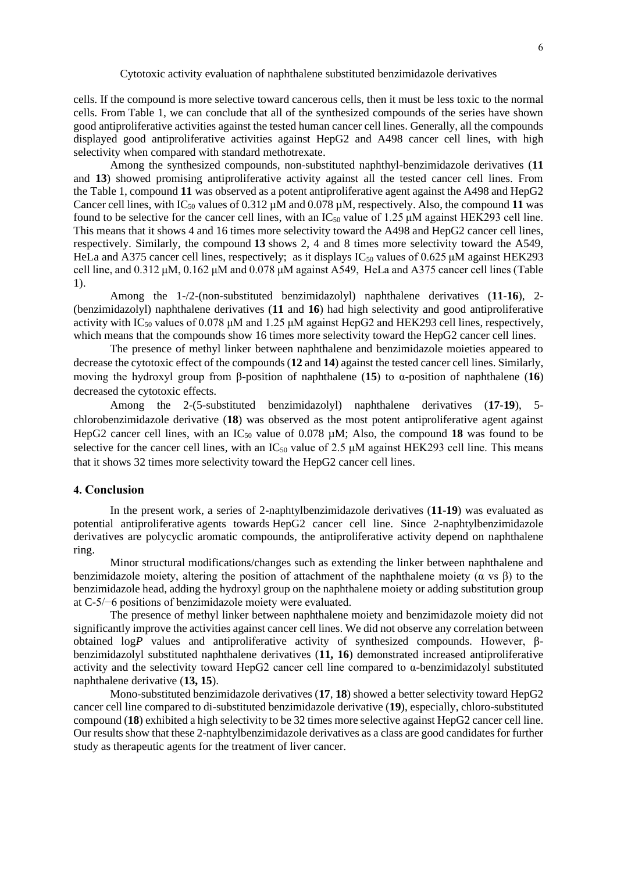cells. If the compound is more selective toward cancerous cells, then it must be less toxic to the normal cells. From Table [1,](https://www.tandfonline.com/reader/content/17d90dad104/10.1080/10406638.2020.1852589/format/epub/EPUB/xhtml/t0001.xhtml) we can conclude that all of the synthesized compounds of the series have shown good antiproliferative activities against the tested human cancer cell lines. Generally, all the compounds displayed good antiproliferative activities against HepG2 and A498 cancer cell lines, with high selectivity when compared with standard methotrexate.

Among the synthesized compounds, non-substituted naphthyl-benzimidazole derivatives (**11** and **13**) showed promising antiproliferative activity against all the tested cancer cell lines. From the [Table 1,](https://www.tandfonline.com/reader/content/17d90dad104/10.1080/10406638.2020.1852589/format/epub/EPUB/xhtml/t0001.xhtml) compound **11** was observed as a potent antiproliferative agent against the A498 and HepG2 Cancer cell lines, with  $IC_{50}$  values of 0.312  $\mu$ M and 0.078  $\mu$ M, respectively. Also, the compound 11 was found to be selective for the cancer cell lines, with an  $IC_{50}$  value of 1.25  $\mu$ M against HEK293 cell line. This means that it shows 4 and 16 times more selectivity toward the A498 and HepG2 cancer cell lines, respectively. Similarly, the compound **13** shows 2, 4 and 8 times more selectivity toward the A549, HeLa and A375 cancer cell lines, respectively; as it displays  $IC_{50}$  values of 0.625  $\mu$ M against HEK293 cell line, and 0.312 μM, 0.162 μM and 0.078 μM against A549, HeLa and A375 cancer cell lines [\(Table](https://www.tandfonline.com/reader/content/17d90dad104/10.1080/10406638.2020.1852589/format/epub/EPUB/xhtml/t0001.xhtml)  [1\)](https://www.tandfonline.com/reader/content/17d90dad104/10.1080/10406638.2020.1852589/format/epub/EPUB/xhtml/t0001.xhtml).

Among the 1-/2-(non-substituted benzimidazolyl) naphthalene derivatives (**11**-**16**), 2- (benzimidazolyl) naphthalene derivatives (**11** and **16**) had high selectivity and good antiproliferative activity with  $IC_{50}$  values of 0.078  $\mu$ M and 1.25  $\mu$ M against HepG2 and HEK293 cell lines, respectively, which means that the compounds show 16 times more selectivity toward the HepG2 cancer cell lines.

The presence of methyl linker between naphthalene and benzimidazole moieties appeared to decrease the cytotoxic effect of the compounds (**12** and **14**) against the tested cancer cell lines. Similarly, moving the hydroxyl group from β-position of naphthalene (**15**) to α-position of naphthalene (**16**) decreased the cytotoxic effects.

Among the 2-(5-substituted benzimidazolyl) naphthalene derivatives (**17-19**), 5 chlorobenzimidazole derivative (**18**) was observed as the most potent antiproliferative agent against HepG2 cancer cell lines, with an  $IC_{50}$  value of 0.078  $\mu$ M; Also, the compound 18 was found to be selective for the cancer cell lines, with an  $IC_{50}$  value of 2.5  $\mu$ M against HEK293 cell line. This means that it shows 32 times more selectivity toward the HepG2 cancer cell lines.

# **4. Conclusion**

In the present work, a series of 2-naphtylbenzimidazole derivatives (**11**-**19**) was evaluated as potential antiproliferative agents towards HepG2 cancer cell line. Since 2-naphtylbenzimidazole derivatives are polycyclic aromatic compounds, the antiproliferative activity depend on naphthalene ring.

Minor structural modifications/changes such as extending the linker between naphthalene and benzimidazole moiety, altering the position of attachment of the naphthalene moiety ( $\alpha$  vs  $\beta$ ) to the benzimidazole head, adding the hydroxyl group on the naphthalene moiety or adding substitution group at C-5/−6 positions of benzimidazole moiety were evaluated.

The presence of methyl linker between naphthalene moiety and benzimidazole moiety did not significantly improve the activities against cancer cell lines. We did not observe any correlation between obtained log*P* values and antiproliferative activity of synthesized compounds. However, βbenzimidazolyl substituted naphthalene derivatives (**11, 16**) demonstrated increased antiproliferative activity and the selectivity toward HepG2 cancer cell line compared to  $\alpha$ -benzimidazolyl substituted naphthalene derivative (**13, 15**).

Mono-substituted benzimidazole derivatives (**17**, **18**) showed a better selectivity toward HepG2 cancer cell line compared to di-substituted benzimidazole derivative (**19**), especially, chloro-substituted compound (**18**) exhibited a high selectivity to be 32 times more selective against HepG2 cancer cell line. Our results show that these 2-naphtylbenzimidazole derivatives as a class are good candidates for further study as therapeutic agents for the treatment of liver cancer.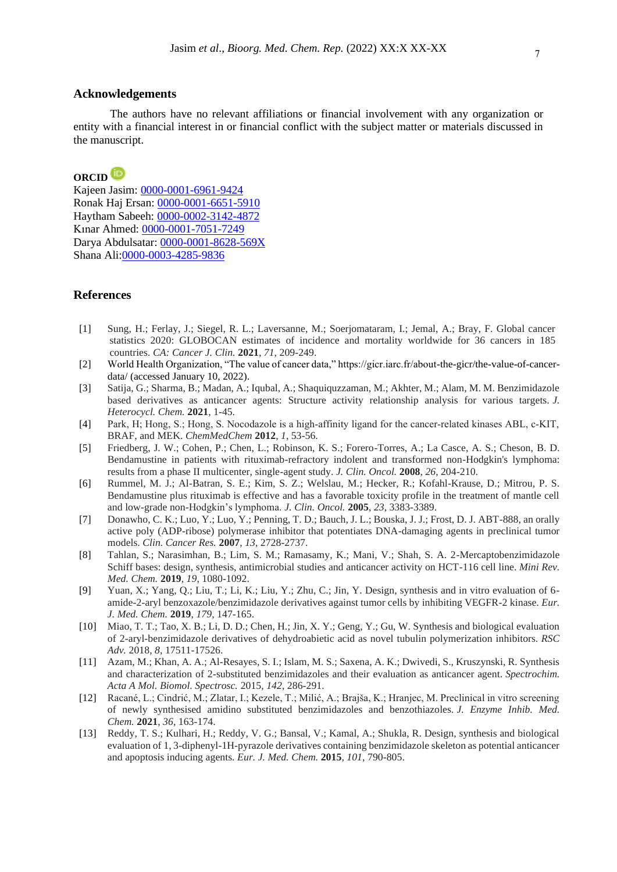## **Acknowledgements**

The authors have no relevant affiliations or financial involvement with any organization or entity with a financial interest in or financial conflict with the subject matter or materials discussed in the manuscript.

# **ORCID**

Kajeen Jasim: [0000-0001-6961-9424](https://orcid.org/0000-0001-6961-9424) Ronak Haj Ersan: [0000-0001-6651-5910](https://orcid.org/0000-0001-6651-5910) Haytham Sabeeh: [0000-0002-3142-4872](https://orcid.org/0000-0002-3142-4872) Kınar Ahmed: [0000-0001-7051-7249](https://orcid.org/0000-0001-7051-7249) Darya Abdulsatar: [0000-0001-8628-569X](https://orcid.org/0000-0001-8628-569X) Shana Ali[:0000-0003-4285-9836](https://orcid.org/0000-0003-4285-9836)

# **References**

- [1] Sung, H.; Ferlay, J.; Siegel, R. L.; Laversanne, M.; Soerjomataram, I.; Jemal, A.; Bray, F. Global cancer statistics 2020: GLOBOCAN estimates of incidence and mortality worldwide for 36 cancers in 185 countries. *CA: Cancer J. Clin.* **2021**, *71*, 209-249.
- [2] World Health Organization, "The value of cancer data," https://gicr.iarc.fr/about-the-gicr/the-value-of-cancerdata/ (accessed January 10, 2022).
- [3] Satija, G.; Sharma, B.; Madan, A.; Iqubal, A.; Shaquiquzzaman, M.; Akhter, M.; Alam, M. M. Benzimidazole based derivatives as anticancer agents: Structure activity relationship analysis for various targets. *J. Heterocycl. Chem.* **2021**, 1-45.
- [4] Park, H; Hong, S.; Hong, S. Nocodazole is a high-affinity ligand for the cancer-related kinases ABL, c-KIT, BRAF, and MEK. *ChemMedChem* **2012**, *1*, 53-56.
- [5] Friedberg, J. W.; Cohen, P.; Chen, L.; Robinson, K. S.; Forero-Torres, A.; La Casce, A. S.; Cheson, B. D. Bendamustine in patients with rituximab-refractory indolent and transformed non-Hodgkin's lymphoma: results from a phase II multicenter, single-agent study. *J. Clin. Oncol.* **2008**, *26*, 204-210.
- [6] Rummel, M. J.; Al-Batran, S. E.; Kim, S. Z.; Welslau, M.; Hecker, R.; Kofahl-Krause, D.; Mitrou, P. S. Bendamustine plus rituximab is effective and has a favorable toxicity profile in the treatment of mantle cell and low-grade non-Hodgkin's lymphoma. *J. Clin. Oncol.* **2005**, *23*, 3383-3389.
- [7] Donawho, C. K.; Luo, Y.; Luo, Y.; Penning, T. D.; Bauch, J. L.; Bouska, J. J.; Frost, D. J. ABT-888, an orally active poly (ADP-ribose) polymerase inhibitor that potentiates DNA-damaging agents in preclinical tumor models. *Clin. Cancer Res.* **2007**, *13*, 2728-2737.
- [8] Tahlan, S.; Narasimhan, B.; Lim, S. M.; Ramasamy, K.; Mani, V.; Shah, S. A. 2-Mercaptobenzimidazole Schiff bases: design, synthesis, antimicrobial studies and anticancer activity on HCT-116 cell line. *Mini Rev. Med. Chem.* **2019**, *19*, 1080-1092.
- [9] Yuan, X.; Yang, Q.; Liu, T.; Li, K.; Liu, Y.; Zhu, C.; Jin, Y. Design, synthesis and in vitro evaluation of 6 amide-2-aryl benzoxazole/benzimidazole derivatives against tumor cells by inhibiting VEGFR-2 kinase. *Eur. J. Med. Chem.* **2019**, *179*, 147-165.
- [10] Miao, T. T.; Tao, X. B.; Li, D. D.; Chen, H.; Jin, X. Y.; Geng, Y.; Gu, W. Synthesis and biological evaluation of 2-aryl-benzimidazole derivatives of dehydroabietic acid as novel tubulin polymerization inhibitors. *RSC Adv.* 2018, *8*, 17511-17526.
- [11] Azam, M.; Khan, A. A.; Al-Resayes, S. I.; Islam, M. S.; Saxena, A. K.; Dwivedi, S., Kruszynski, R. Synthesis and characterization of 2-substituted benzimidazoles and their evaluation as anticancer agent. *Spectrochim. Acta A Mol. Biomol. Spectrosc.* 2015, *142*, 286-291.
- [12] Racané, L.; Cindrić, M.; Zlatar, I.; Kezele, T.; Milić, A.; Brajša, K.; Hranjec, M. Preclinical in vitro screening of newly synthesised amidino substituted benzimidazoles and benzothiazoles. *J. Enzyme Inhib. Med. Chem.* **2021**, *36*, 163-174.
- [13] Reddy, T. S.; Kulhari, H.; Reddy, V. G.; Bansal, V.; Kamal, A.; Shukla, R. Design, synthesis and biological evaluation of 1, 3-diphenyl-1H-pyrazole derivatives containing benzimidazole skeleton as potential anticancer and apoptosis inducing agents. *Eur. J. Med. Chem.* **2015**, *101*, 790-805.